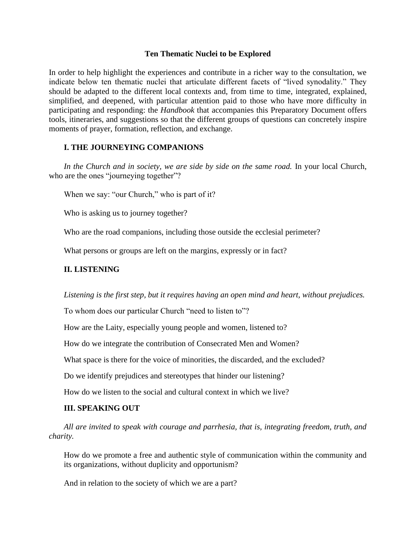#### **Ten Thematic Nuclei to be Explored**

In order to help highlight the experiences and contribute in a richer way to the consultation, we indicate below ten thematic nuclei that articulate different facets of "lived synodality." They should be adapted to the different local contexts and, from time to time, integrated, explained, simplified, and deepened, with particular attention paid to those who have more difficulty in participating and responding: the *Handbook* that accompanies this Preparatory Document offers tools, itineraries, and suggestions so that the different groups of questions can concretely inspire moments of prayer, formation, reflection, and exchange.

#### **I. THE JOURNEYING COMPANIONS**

In the Church and in society, we are side by side on the same road. In your local Church, who are the ones "journeying together"?

When we say: "our Church," who is part of it?

Who is asking us to journey together?

Who are the road companions, including those outside the ecclesial perimeter?

What persons or groups are left on the margins, expressly or in fact?

## **II. LISTENING**

*Listening is the first step, but it requires having an open mind and heart, without prejudices.* 

To whom does our particular Church "need to listen to"?

How are the Laity, especially young people and women, listened to?

How do we integrate the contribution of Consecrated Men and Women?

What space is there for the voice of minorities, the discarded, and the excluded?

Do we identify prejudices and stereotypes that hinder our listening?

How do we listen to the social and cultural context in which we live?

# **III. SPEAKING OUT**

*All are invited to speak with courage and parrhesia, that is, integrating freedom, truth, and charity.* 

How do we promote a free and authentic style of communication within the community and its organizations, without duplicity and opportunism?

And in relation to the society of which we are a part?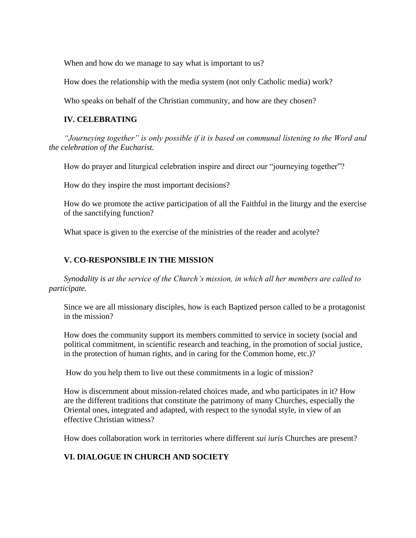When and how do we manage to say what is important to us?

How does the relationship with the media system (not only Catholic media) work?

Who speaks on behalf of the Christian community, and how are they chosen?

#### **IV. CELEBRATING**

*"Journeying together" is only possible if it is based on communal listening to the Word and the celebration of the Eucharist.* 

How do prayer and liturgical celebration inspire and direct our "journeying together"?

How do they inspire the most important decisions?

How do we promote the active participation of all the Faithful in the liturgy and the exercise of the sanctifying function?

What space is given to the exercise of the ministries of the reader and acolyte?

#### **V. CO-RESPONSIBLE IN THE MISSION**

*Synodality is at the service of the Church's mission, in which all her members are called to participate.* 

Since we are all missionary disciples, how is each Baptized person called to be a protagonist in the mission?

How does the community support its members committed to service in society (social and political commitment, in scientific research and teaching, in the promotion of social justice, in the protection of human rights, and in caring for the Common home, etc.)?

How do you help them to live out these commitments in a logic of mission?

How is discernment about mission-related choices made, and who participates in it? How are the different traditions that constitute the patrimony of many Churches, especially the Oriental ones, integrated and adapted, with respect to the synodal style, in view of an effective Christian witness?

How does collaboration work in territories where different *sui iuris* Churches are present?

## **VI. DIALOGUE IN CHURCH AND SOCIETY**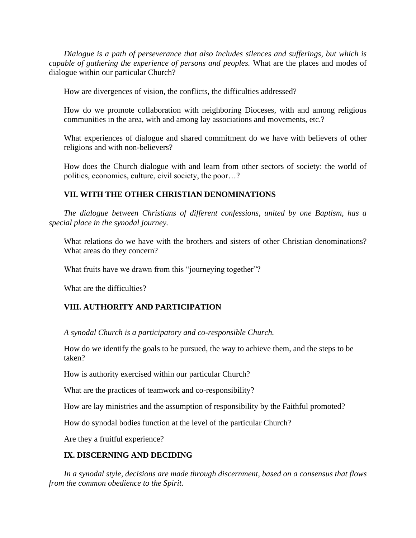*Dialogue is a path of perseverance that also includes silences and sufferings, but which is capable of gathering the experience of persons and peoples.* What are the places and modes of dialogue within our particular Church?

How are divergences of vision, the conflicts, the difficulties addressed?

How do we promote collaboration with neighboring Dioceses, with and among religious communities in the area, with and among lay associations and movements, etc.?

What experiences of dialogue and shared commitment do we have with believers of other religions and with non-believers?

How does the Church dialogue with and learn from other sectors of society: the world of politics, economics, culture, civil society, the poor…?

## **VII. WITH THE OTHER CHRISTIAN DENOMINATIONS**

*The dialogue between Christians of different confessions, united by one Baptism, has a special place in the synodal journey.* 

What relations do we have with the brothers and sisters of other Christian denominations? What areas do they concern?

What fruits have we drawn from this "journeying together"?

What are the difficulties?

## **VIII. AUTHORITY AND PARTICIPATION**

*A synodal Church is a participatory and co-responsible Church.*

How do we identify the goals to be pursued, the way to achieve them, and the steps to be taken?

How is authority exercised within our particular Church?

What are the practices of teamwork and co-responsibility?

How are lay ministries and the assumption of responsibility by the Faithful promoted?

How do synodal bodies function at the level of the particular Church?

Are they a fruitful experience?

## **IX. DISCERNING AND DECIDING**

*In a synodal style, decisions are made through discernment, based on a consensus that flows from the common obedience to the Spirit.*